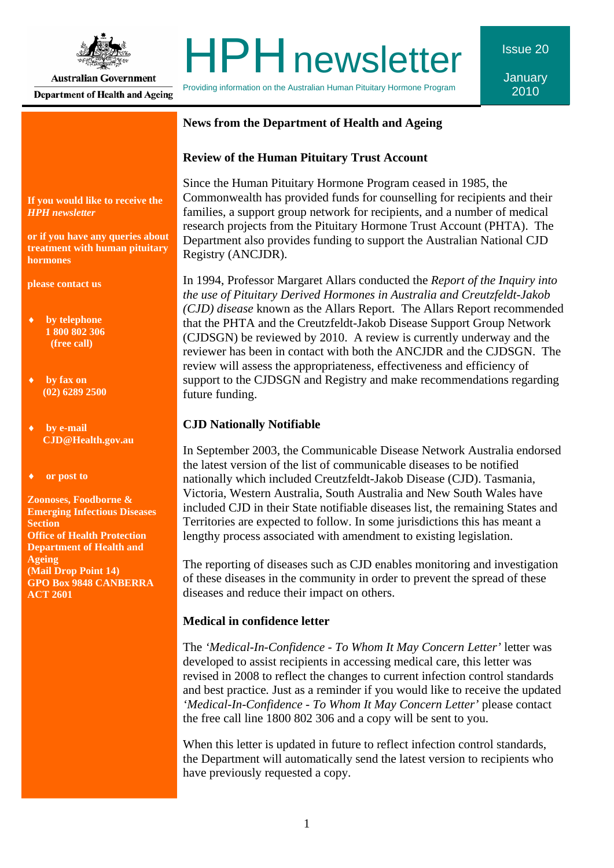

**Australian Government Department of Health and Ageing** 

# **HPH** newsletter

Providing information on the Australian Human Pituitary Hormone Program

**January** 2010

Issue 20

## **News from the Department of Health and Ageing**

## **Review of the Human Pituitary Trust Account**

Since the Human Pituitary Hormone Program ceased in 1985, the Commonwealth has provided funds for counselling for recipients and their families, a support group network for recipients, and a number of medical research projects from the Pituitary Hormone Trust Account (PHTA). The Department also provides funding to support the Australian National CJD Registry (ANCJDR).

In 1994, Professor Margaret Allars conducted the *Report of the Inquiry into the use of Pituitary Derived Hormones in Australia and Creutzfeldt-Jakob (CJD) disease* known as the Allars Report. The Allars Report recommended that the PHTA and the Creutzfeldt-Jakob Disease Support Group Network (CJDSGN) be reviewed by 2010. A review is currently underway and the reviewer has been in contact with both the ANCJDR and the CJDSGN. The review will assess the appropriateness, effectiveness and efficiency of support to the CJDSGN and Registry and make recommendations regarding future funding.

## **CJD Nationally Notifiable**

In September 2003, the Communicable Disease Network Australia endorsed the latest version of the list of communicable diseases to be notified nationally which included Creutzfeldt-Jakob Disease (CJD). Tasmania, Victoria, Western Australia, South Australia and New South Wales have included CJD in their State notifiable diseases list, the remaining States and Territories are expected to follow. In some jurisdictions this has meant a lengthy process associated with amendment to existing legislation.

The reporting of diseases such as CJD enables monitoring and investigation of these diseases in the community in order to prevent the spread of these diseases and reduce their impact on others.

## **Medical in confidence letter**

The *'Medical-In-Confidence - To Whom It May Concern Letter'* letter was developed to assist recipients in accessing medical care, this letter was revised in 2008 to reflect the changes to current infection control standards and best practice*.* Just as a reminder if you would like to receive the updated *'Medical-In-Confidence - To Whom It May Concern Letter'* please contact the free call line 1800 802 306 and a copy will be sent to you.

When this letter is updated in future to reflect infection control standards, the Department will automatically send the latest version to recipients who have previously requested a copy.

**If you would like to receive the**  *HPH newsletter* 

**or if you have any queries about treatment with human pituitary hormones** 

**please contact us** 

- **by telephone 1 800 802 306 (free call)**
- **by fax on (02) 6289 2500**
- **by e-mail CJD@Health.gov.au**
- **or post to**

**Zoonoses, Foodborne & Emerging Infectious Diseases Section Office of Health Protection Department of Health and Ageing (Mail Drop Point 14) GPO Box 9848 CANBERRA ACT 2601**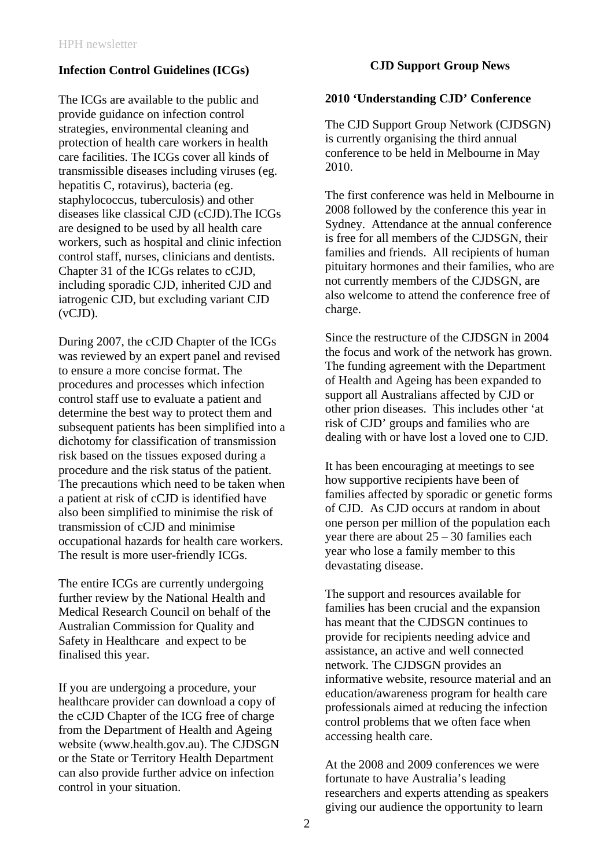## **Infection Control Guidelines (ICGs)**

The ICGs are available to the public and provide guidance on infection control strategies, environmental cleaning and protection of health care workers in health care facilities. The ICGs cover all kinds of transmissible diseases including viruses (eg. hepatitis C, rotavirus), bacteria (eg. staphylococcus, tuberculosis) and other diseases like classical CJD (cCJD).The ICGs are designed to be used by all health care workers, such as hospital and clinic infection control staff, nurses, clinicians and dentists. Chapter 31 of the ICGs relates to cCJD, including sporadic CJD, inherited CJD and iatrogenic CJD, but excluding variant CJD (vCJD).

During 2007, the cCJD Chapter of the ICGs was reviewed by an expert panel and revised to ensure a more concise format. The procedures and processes which infection control staff use to evaluate a patient and determine the best way to protect them and subsequent patients has been simplified into a dichotomy for classification of transmission risk based on the tissues exposed during a procedure and the risk status of the patient. The precautions which need to be taken when a patient at risk of cCJD is identified have also been simplified to minimise the risk of transmission of cCJD and minimise occupational hazards for health care workers. The result is more user-friendly ICGs.

The entire ICGs are currently undergoing further review by the National Health and Medical Research Council on behalf of the Australian Commission for Quality and Safety in Healthcare and expect to be finalised this year.

If you are undergoing a procedure, your healthcare provider can download a copy of the cCJD Chapter of the ICG free of charge from the Department of Health and Ageing website (www.health.gov.au). The CJDSGN or the State or Territory Health Department can also provide further advice on infection control in your situation.

## **CJD Support Group News**

## **2010 'Understanding CJD' Conference**

The CJD Support Group Network (CJDSGN) is currently organising the third annual conference to be held in Melbourne in May 2010.

The first conference was held in Melbourne in 2008 followed by the conference this year in Sydney. Attendance at the annual conference is free for all members of the CJDSGN, their families and friends. All recipients of human pituitary hormones and their families, who are not currently members of the CJDSGN, are also welcome to attend the conference free of charge.

Since the restructure of the CJDSGN in 2004 the focus and work of the network has grown. The funding agreement with the Department of Health and Ageing has been expanded to support all Australians affected by CJD or other prion diseases. This includes other 'at risk of CJD' groups and families who are dealing with or have lost a loved one to CJD.

It has been encouraging at meetings to see how supportive recipients have been of families affected by sporadic or genetic forms of CJD. As CJD occurs at random in about one person per million of the population each year there are about  $25 - 30$  families each year who lose a family member to this devastating disease.

The support and resources available for families has been crucial and the expansion has meant that the CJDSGN continues to provide for recipients needing advice and assistance, an active and well connected network. The CJDSGN provides an informative website, resource material and an education/awareness program for health care professionals aimed at reducing the infection control problems that we often face when accessing health care.

At the 2008 and 2009 conferences we were fortunate to have Australia's leading researchers and experts attending as speakers giving our audience the opportunity to learn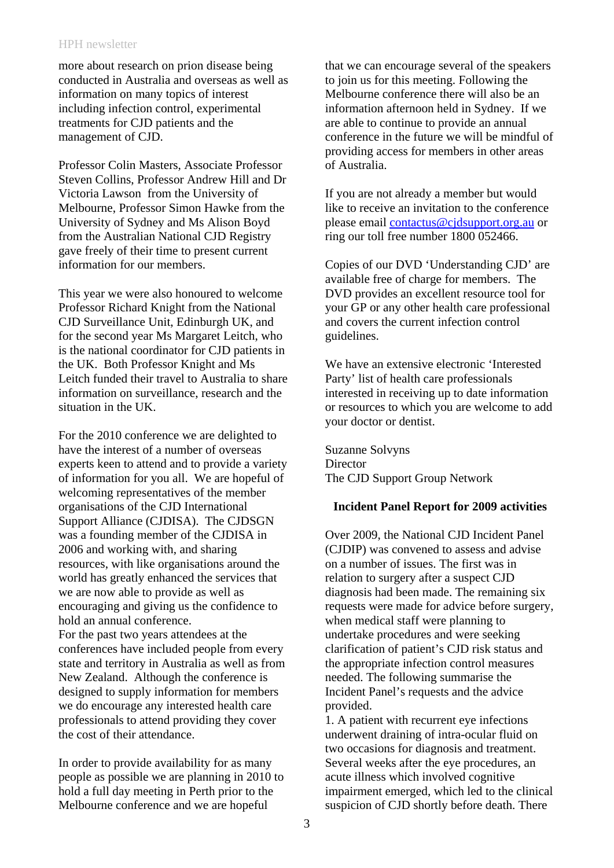### HPH newsletter

more about research on prion disease being conducted in Australia and overseas as well as information on many topics of interest including infection control, experimental treatments for CJD patients and the management of CJD.

Professor Colin Masters, Associate Professor Steven Collins, Professor Andrew Hill and Dr Victoria Lawson from the University of Melbourne, Professor Simon Hawke from the University of Sydney and Ms Alison Boyd from the Australian National CJD Registry gave freely of their time to present current information for our members.

This year we were also honoured to welcome Professor Richard Knight from the National CJD Surveillance Unit, Edinburgh UK, and for the second year Ms Margaret Leitch, who is the national coordinator for CJD patients in the UK. Both Professor Knight and Ms Leitch funded their travel to Australia to share information on surveillance, research and the situation in the UK.

For the 2010 conference we are delighted to have the interest of a number of overseas experts keen to attend and to provide a variety of information for you all. We are hopeful of welcoming representatives of the member organisations of the CJD International Support Alliance (CJDISA). The CJDSGN was a founding member of the CJDISA in 2006 and working with, and sharing resources, with like organisations around the world has greatly enhanced the services that we are now able to provide as well as encouraging and giving us the confidence to hold an annual conference. For the past two years attendees at the conferences have included people from every state and territory in Australia as well as from New Zealand. Although the conference is designed to supply information for members

we do encourage any interested health care professionals to attend providing they cover the cost of their attendance.

In order to provide availability for as many people as possible we are planning in 2010 to hold a full day meeting in Perth prior to the Melbourne conference and we are hopeful

that we can encourage several of the speakers to join us for this meeting. Following the Melbourne conference there will also be an information afternoon held in Sydney. If we are able to continue to provide an annual conference in the future we will be mindful of providing access for members in other areas of Australia.

If you are not already a member but would like to receive an invitation to the conference please email [contactus@cjdsupport.org.au](mailto:contactus@cjdsupport.org.au) or ring our toll free number 1800 052466.

Copies of our DVD 'Understanding CJD' are available free of charge for members. The DVD provides an excellent resource tool for your GP or any other health care professional and covers the current infection control guidelines.

We have an extensive electronic 'Interested Party' list of health care professionals interested in receiving up to date information or resources to which you are welcome to add your doctor or dentist.

Suzanne Solvyns **Director** The CJD Support Group Network

## **Incident Panel Report for 2009 activities**

Over 2009, the National CJD Incident Panel (CJDIP) was convened to assess and advise on a number of issues. The first was in relation to surgery after a suspect CJD diagnosis had been made. The remaining six requests were made for advice before surgery, when medical staff were planning to undertake procedures and were seeking clarification of patient's CJD risk status and the appropriate infection control measures needed. The following summarise the Incident Panel's requests and the advice provided.

1. A patient with recurrent eye infections underwent draining of intra-ocular fluid on two occasions for diagnosis and treatment. Several weeks after the eye procedures, an acute illness which involved cognitive impairment emerged, which led to the clinical suspicion of CJD shortly before death. There